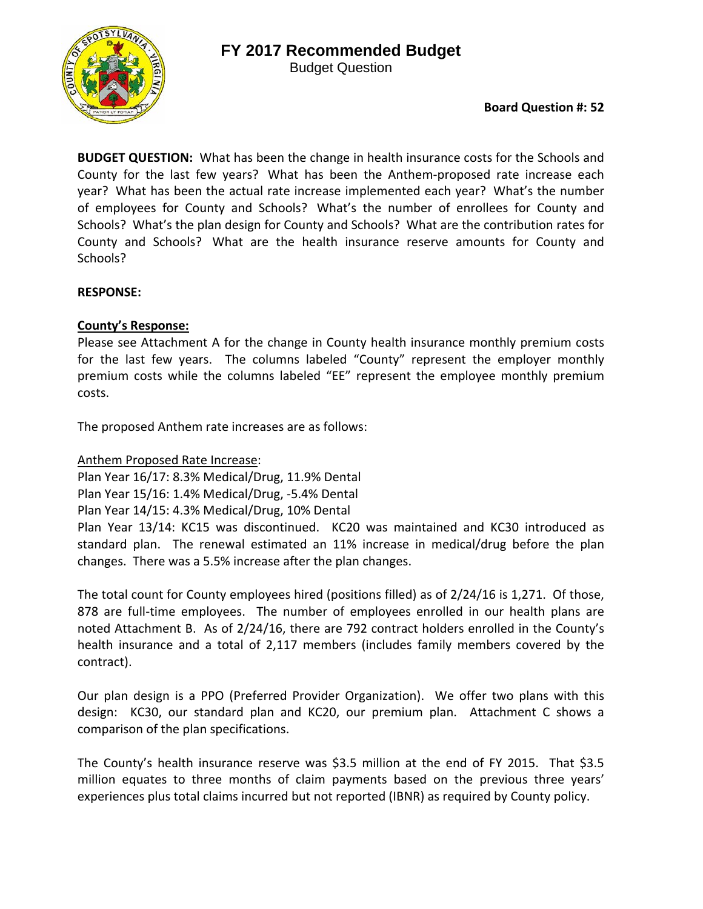

Budget Question

# **Board Question #: 52**

**BUDGET QUESTION:** What has been the change in health insurance costs for the Schools and County for the last few years? What has been the Anthem‐proposed rate increase each year? What has been the actual rate increase implemented each year? What's the number of employees for County and Schools? What's the number of enrollees for County and Schools? What's the plan design for County and Schools? What are the contribution rates for County and Schools? What are the health insurance reserve amounts for County and Schools?

## **RESPONSE:**

## **County's Response:**

Please see Attachment A for the change in County health insurance monthly premium costs for the last few years. The columns labeled "County" represent the employer monthly premium costs while the columns labeled "EE" represent the employee monthly premium costs.

The proposed Anthem rate increases are as follows:

Anthem Proposed Rate Increase:

Plan Year 16/17: 8.3% Medical/Drug, 11.9% Dental

Plan Year 15/16: 1.4% Medical/Drug, ‐5.4% Dental

Plan Year 14/15: 4.3% Medical/Drug, 10% Dental

Plan Year 13/14: KC15 was discontinued. KC20 was maintained and KC30 introduced as standard plan. The renewal estimated an 11% increase in medical/drug before the plan changes. There was a 5.5% increase after the plan changes.

The total count for County employees hired (positions filled) as of 2/24/16 is 1,271. Of those, 878 are full-time employees. The number of employees enrolled in our health plans are noted Attachment B. As of 2/24/16, there are 792 contract holders enrolled in the County's health insurance and a total of 2,117 members (includes family members covered by the contract).

Our plan design is a PPO (Preferred Provider Organization). We offer two plans with this design: KC30, our standard plan and KC20, our premium plan. Attachment C shows a comparison of the plan specifications.

The County's health insurance reserve was \$3.5 million at the end of FY 2015. That \$3.5 million equates to three months of claim payments based on the previous three years' experiences plus total claims incurred but not reported (IBNR) as required by County policy.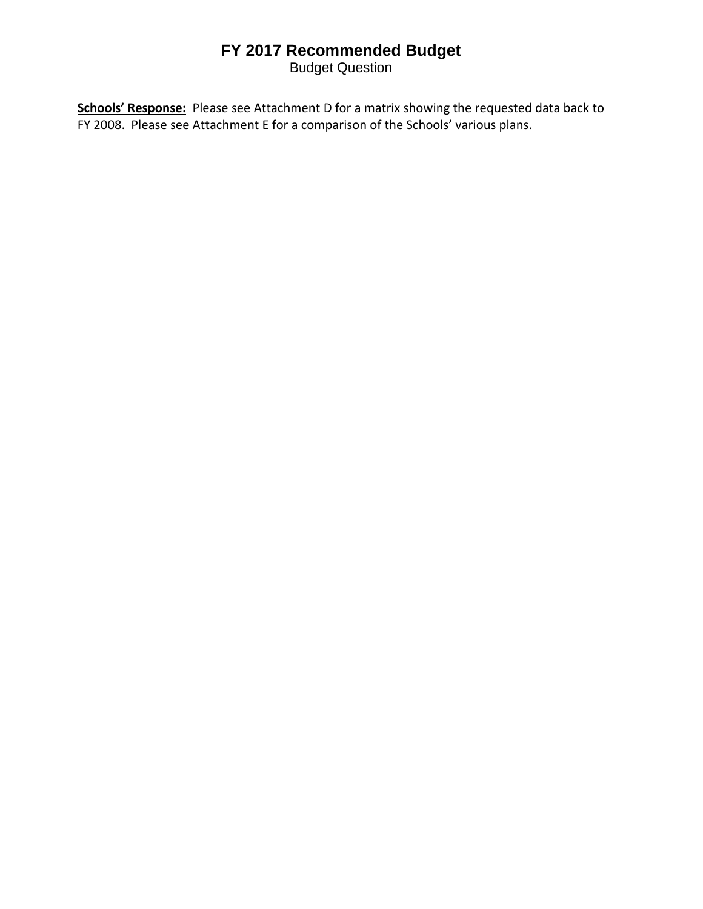# **FY 2017 Recommended Budget**

Budget Question

**Schools' Response:** Please see Attachment D for a matrix showing the requested data back to FY 2008. Please see Attachment E for a comparison of the Schools' various plans.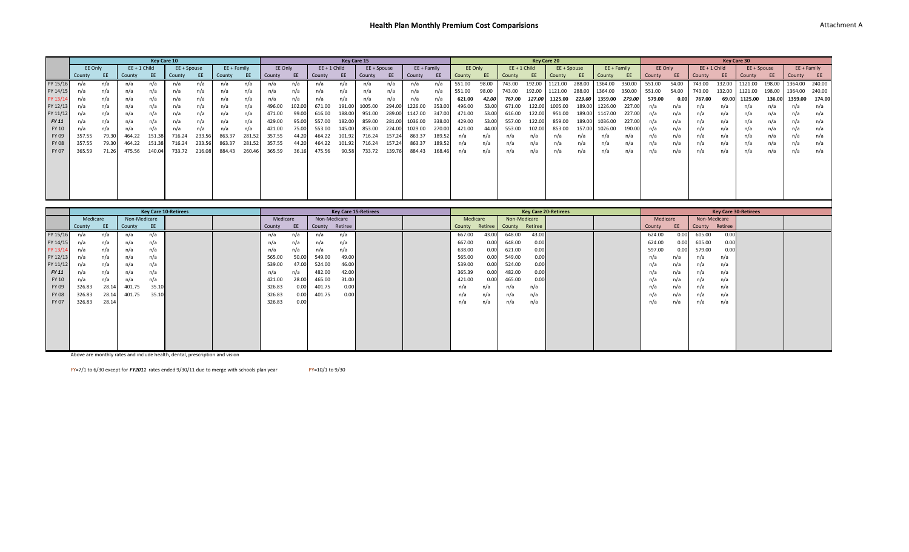|              | Key Care 10<br>Key Care 15 |       |                |        |             |        |               |        |         |       |                |        |             |        |             |        |         |       |                |        |                    |             |               |        |         |       |        |                |             |        |                 |               |
|--------------|----------------------------|-------|----------------|--------|-------------|--------|---------------|--------|---------|-------|----------------|--------|-------------|--------|-------------|--------|---------|-------|----------------|--------|--------------------|-------------|---------------|--------|---------|-------|--------|----------------|-------------|--------|-----------------|---------------|
|              |                            |       |                |        |             |        |               |        |         |       |                |        |             |        |             |        |         |       |                |        | <b>Key Care 20</b> |             |               |        |         |       |        |                | Key Care 30 |        |                 |               |
|              | EE Only                    |       | $EE + 1$ Child |        | EE + Spouse |        | $EE + Family$ |        | EE Only |       | $EE + 1$ Child |        | EE + Spouse |        | EE + Family |        | EE Only |       | $EE + 1$ Child |        |                    | EE + Spouse | $EE + Family$ |        | EE Only |       |        | $EE + 1$ Child | EE + Spouse |        |                 | $EE + Family$ |
|              | County                     | EE.   | County         | EE     | County      |        | County        |        | County  | EE    | County         | EE     | County      | EE     | County      | EE     | County  | EE    | County         |        | County             | EE          | County        |        | County  |       | County |                | County      | EE     | County          | <b>EE</b>     |
| PY 15/16     |                            | n/a   | n/a            |        | n/a         | n/a    | n/a           | n/a    | n/a     | n/a   | n/a            | n/a    | n/a         | n/a    | n/a         |        | 551.00  | 98.00 | 743.00         | 192.00 | 1121.00            | 288.00      | 1364.00       | 350.00 | 551.00  | 54.00 | 743.00 | 132.00         | 1121.00     | 198.00 | 1364.00         | 240.00        |
| PY 14/15     | n/a                        | n/a   | n/a            | n/a    | n/a         | n/a    | n/a           | n/a    | n/a     | n/a   | n/a            | n/a    | n/a         | n/a    | n/a         | n/a    | 551.00  | 98.00 | 743.00         | 192.00 | 1121.00            | 288.00      | 1364.00       | 350.00 | 551.00  | 54.00 | 743.00 | 132.00         | 1121.00     | 198.00 | 1364.00         | 240.00        |
| PY 13/14     | n/a                        | n/a   | n/a            | n/a    | n/a         | n/a    | n/a           | n/a    | n/a     | n/a   | n/a            | n/a    | n/a         | n/a    | n/a         | n/a    | 621.00  | 42.00 | 767.00         | 127.00 | 1125.00            | 223.00      | 1359.00       | 279.00 | 579.00  |       | 767.00 | 69.00          | 1125.00     | 136.00 | 1359.00         | 174.00        |
| PY 12/13     |                            | n/a   | n/a            | n/a    | n/a         | n/a    | n/a           | n/a    | 496.00  | 102.0 | 671.00         | 191.00 | 1005.00     | 294.00 | 1226.00     | 353.00 | 496.00  | 53.00 | 671.00         | 122.00 | 005.00             | 189.00      | 1226.00       | 227.00 |         | n/a   |        | n/a            |             | n/a    |                 |               |
| PY 11/12     |                            |       | n/a            | n/a    | n/a         | n/a    | n/a           | n/a    | 471.00  | 99.0  | 616.00         | 188.00 | 951.00      | 289.00 | 1147.00     |        | 471.00  | 53.00 | 616.00         | 122.00 | 951.00             | 189.00      | 1147.00       | 227.00 |         | n/a   |        | n/a            | n/a         | n/a    |                 | n/a           |
| FY 11        |                            |       | n/a            | n/a    | n/a         | n/a    | n/a           | n/a    | 429.00  | 95.0  | 557.00         | 182.00 | 859.00      | 281.00 | 1036.00     | 338.00 | 429.00  | 53.00 | 557.00         | 122.00 | 859.00             | 189.00      | 1036.00       | 227.00 |         | n/a   | n/a    | n/a            | n/a         | n/a    | $n/\varepsilon$ | n/a           |
| FY 10        | n/a                        | n/a   | n/a            | n/a    | n/a         | n/a    | n/a           | n/a    | 421.00  | 75.00 | 553.00         | 145.00 | 853.00      | 224.00 | 1029.00     | 270.00 | 421.00  | 44.00 | 553.00         | 102.00 | 853.00             | 157.00      | 1026.00       | 190.00 | n/a     | n/a   | n/a    | n/a            | n/a         | n/a    | $n/\varepsilon$ | n/a           |
| FY 09        | 357.55                     | 79.30 | 464.22         | 151.38 | 716.24      | 233.56 | 863.37        | 281.52 | 357.55  | 44.20 | 464.22         | 101.92 | 716.24      | 157.24 | 863.37      | 189.52 | n/a     | n/a   |                |        |                    |             |               |        |         | n/a   | n/a    | n/a            | n/a         | n/a    | $n/\varepsilon$ | n/a           |
| <b>FY 08</b> | 357.55                     | 79.30 | 464.22         | 151.38 | 716.24      | 233.56 | 863.37        | 281.52 | 357.55  | 44.20 | 464.22         | 101.92 | 716.24      | 157.24 | 863.37      | 189.52 |         | n/a   | n/a            | n/a    |                    | n/a         | n/a           | n/a    |         | n/a   | n/a    | n/a            | n/a         | n/a    | n/i             | n/a           |
| FY 07        | 365.59                     | 71.26 | 475.56         | 140.0  | 733.72      | 216.08 | 884.43        | 260.4t | 365.59  | 36.16 | 475.56         | 90.58  | 733.72      | 139.76 | 884.43      | 168.46 | n/a     | n/a   | n/a            | n/a    | n/a                | n/a         | n/a           | n/a    | n/a     | n/a   | n/a    | n/a            | n/a         | n/a    | n/a             | n/a           |
|              |                            |       |                |        |             |        |               |        |         |       |                |        |             |        |             |        |         |       |                |        |                    |             |               |        |         |       |        |                |             |        |                 |               |
|              |                            |       |                |        |             |        |               |        |         |       |                |        |             |        |             |        |         |       |                |        |                    |             |               |        |         |       |        |                |             |        |                 |               |
|              |                            |       |                |        |             |        |               |        |         |       |                |        |             |        |             |        |         |       |                |        |                    |             |               |        |         |       |        |                |             |        |                 |               |
|              |                            |       |                |        |             |        |               |        |         |       |                |        |             |        |             |        |         |       |                |        |                    |             |               |        |         |       |        |                |             |        |                 |               |
|              |                            |       |                |        |             |        |               |        |         |       |                |        |             |        |             |        |         |       |                |        |                    |             |               |        |         |       |        |                |             |        |                 |               |
|              |                            |       |                |        |             |        |               |        |         |       |                |        |             |        |             |        |         |       |                |        |                    |             |               |        |         |       |        |                |             |        |                 |               |

|              | <b>Key Care 10-Retirees</b> |           |               |       |  |          |       |              | <b>Key Care 15-Retirees</b> |  |          |         |              | <b>Key Care 20-Retirees</b> |  |          |      |              | <b>Key Care 30-Retirees</b> |  |  |
|--------------|-----------------------------|-----------|---------------|-------|--|----------|-------|--------------|-----------------------------|--|----------|---------|--------------|-----------------------------|--|----------|------|--------------|-----------------------------|--|--|
|              | Medicare                    |           | Non-Medicare  |       |  | Medicare |       | Non-Medicare |                             |  | Medicare |         | Non-Medicare |                             |  | Medicare |      | Non-Medicare |                             |  |  |
|              | County                      | <b>EE</b> | County        | EE.   |  | County   | EE    | County       | Retiree                     |  | County   | Retiree | County       | Retiree                     |  | County   | EE   | County       | Retiree                     |  |  |
| PY 15/16     |                             | n/a       | n/            | n/a   |  | n/a      | n/a   | n/a          | n/a                         |  | 667.00   | 43.00   | 648.00       | 43.00                       |  | 624.00   | 0.00 | 605.00       | 0.00                        |  |  |
| PY 14/15     |                             | n/a       | n/i           | n/a   |  | n/a      | n/a   | n/a          | n/a                         |  | 667.00   | 0.00    | 648.00       | 0.00                        |  | 624.00   | 0.00 | 605.00       | 0.00                        |  |  |
| PY 13/14     | n/a                         | n/a       | n/a           | n/a   |  | n/a      | n/a   | n/a          | n/a                         |  | 638.00   | 0.00    | 621.00       | 0.00                        |  | 597.00   | 0.00 | 579.00       | 0.00                        |  |  |
| PY 12/13     |                             | n/a       | $n/\tilde{c}$ | n/a   |  | 565.00   | 50.00 | 549.00       | 49.00                       |  | 565.00   | 0.00    | 549.00       | 0.00                        |  | n/a      | n/a  | n/a          | n/a                         |  |  |
| PY 11/12     |                             | n/a       | $n/\tilde{c}$ | n/a   |  | 539.00   | 47.00 | 524.00       | 46.00                       |  | 539.00   | 0.00    | 524.00       | 0.00                        |  | n/a      | n/a  | n/a          | n/a                         |  |  |
| FY 11        | n/a                         | n/a       | n/a           | n/a   |  | n/a      | n/a   | 482.00       | 42.00                       |  | 365.39   | 0.00    | 482.00       | 0.00                        |  | n/a      | n/a  | n/a          | n/a                         |  |  |
| FY 10        | n/a                         | n/a       | n/a           | n/a   |  | 421.00   | 28.00 | 465.00       | 31.00                       |  | 421.00   | 0.00    | 465.00       | 0.00                        |  | n/a      | n/a  | n/a          | n/a                         |  |  |
| FY 09        | 326.83                      | 28.14     | 401.75        | 35.10 |  | 326.83   | 0.00  | 401.75       | 0.00                        |  | n/a      | n/a     | n/a          | n/a                         |  | n/a      | n/a  | n/a          | n/a                         |  |  |
| <b>FY 08</b> | 326.83                      | 28.14     | 401.75        | 35.10 |  | 326.83   | 0.00  | 401.75       | 0.00                        |  | n/a      | n/a     | n/a          | n/a                         |  | n/a      | n/a  | n/a          | n/a                         |  |  |
| FY 07        | 326.83                      | 28.14     |               |       |  | 326.83   | 0.00  |              |                             |  | n/a      | n/a     | n/a          | n/a                         |  | n/a      | n/a  | n/a          | n/a                         |  |  |
|              |                             |           |               |       |  |          |       |              |                             |  |          |         |              |                             |  |          |      |              |                             |  |  |
|              |                             |           |               |       |  |          |       |              |                             |  |          |         |              |                             |  |          |      |              |                             |  |  |
|              |                             |           |               |       |  |          |       |              |                             |  |          |         |              |                             |  |          |      |              |                             |  |  |
|              |                             |           |               |       |  |          |       |              |                             |  |          |         |              |                             |  |          |      |              |                             |  |  |
|              |                             |           |               |       |  |          |       |              |                             |  |          |         |              |                             |  |          |      |              |                             |  |  |
|              |                             |           |               |       |  |          |       |              |                             |  |          |         |              |                             |  |          |      |              |                             |  |  |

Above are monthly rates and include health, dental, prescription and vision

 $FY=7/1$  to 6/30 except for  $FY2011$  rates ended  $9/30/11$  due to merge with schools plan year  $PY=10/1$  to  $9/30$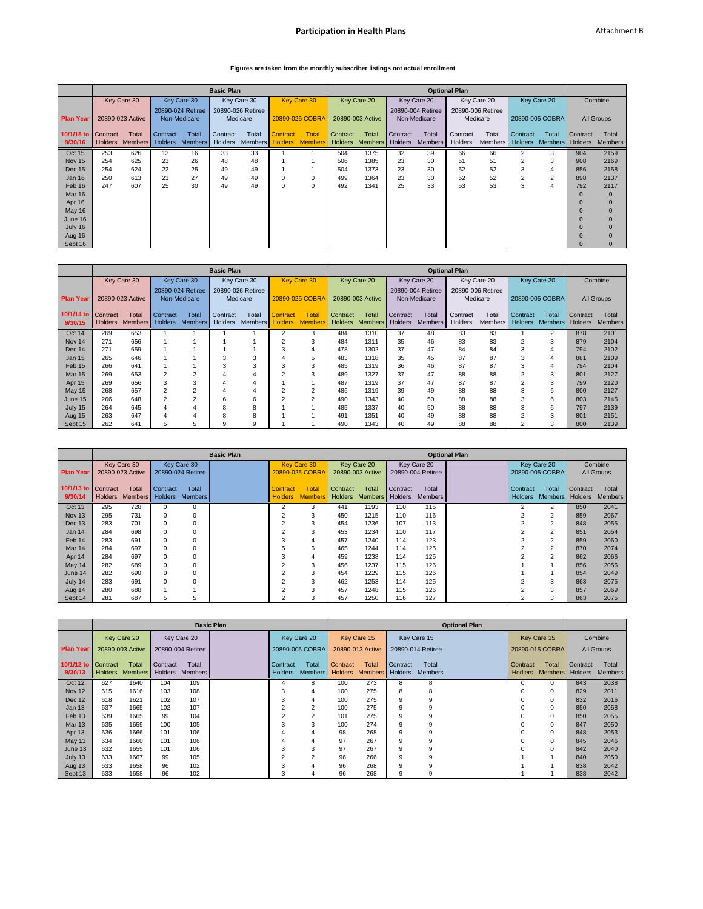### **Participation in Health Plans Attachment B**

### **Figures are taken from the monthly subscriber listings not actual enrollment**

|                     | <b>Optional Plan</b> |                  |                |                   |                   |                   |                 |                                         |          |                  |          |                   |          |                   |                |                 |          |                         |
|---------------------|----------------------|------------------|----------------|-------------------|-------------------|-------------------|-----------------|-----------------------------------------|----------|------------------|----------|-------------------|----------|-------------------|----------------|-----------------|----------|-------------------------|
|                     |                      |                  |                |                   | <b>Basic Plan</b> |                   |                 |                                         |          |                  |          |                   |          |                   |                |                 |          |                         |
|                     |                      | Key Care 30      |                | Key Care 30       |                   | Key Care 30       |                 | <b>Key Care 30</b>                      |          | Key Care 20      |          | Key Care 20       |          | Key Care 20       |                | Key Care 20     |          | Combine                 |
|                     |                      |                  |                | 20890-024 Retiree |                   | 20890-026 Retiree |                 |                                         |          |                  |          | 20890-004 Retiree |          | 20890-006 Retiree |                |                 |          |                         |
| <b>Plan Year</b>    |                      | 20890-023 Active |                | Non-Medicare      |                   | Medicare          |                 | 20890-025 COBRA                         |          | 20890-003 Active |          | Non-Medicare      |          | Medicare          |                | 20890-005 COBRA |          | All Groups              |
|                     |                      |                  |                |                   |                   |                   |                 |                                         |          |                  |          |                   |          |                   |                |                 |          |                         |
| 10/1/15 to Contract |                      | Total            | Contract       | Total             | Contract          | Total             | <b>Contract</b> | <b>Total</b>                            | Contract | Total            | Contract | Total             | Contract | Total             | Contract       | Total           | Contract | Total                   |
| 9/30/16             | <b>Holders</b>       | <b>Members</b>   | <b>Holders</b> | <b>Members</b>    | Holders           |                   |                 | Members Holders Members Holders Members |          |                  | Holders  | Members           | Holders  | Members           | <b>Holders</b> |                 |          | Members Holders Members |
| Oct 15              | 253                  | 626              | 13             | 16                | 33                | 33                |                 |                                         | 504      | 1375             | 32       | 39                | 66       | 66                | $\overline{2}$ | 3               | 904      | 2159                    |
| Nov 15              | 254                  | 625              | 23             | 26                | 48                | 48                |                 |                                         | 506      | 1385             | 23       | 30                | 51       | 51                |                | 3               | 908      | 2169                    |
| <b>Dec 15</b>       | 254                  | 624              | 22             | 25                | 49                | 49                |                 |                                         | 504      | 1373             | 23       | 30                | 52       | 52                | 3              |                 | 856      | 2158                    |
| Jan 16              | 250                  | 613              | 23             | 27                | 49                | 49                |                 | 0                                       | 499      | 1364             | 23       | 30                | 52       | 52                | $\overline{2}$ | $\overline{2}$  | 898      | 2137                    |
| Feb 16              | 247                  | 607              | 25             | 30                | 49                | 49                | $\Omega$        | 0                                       | 492      | 1341             | 25       | 33                | 53       | 53                | 3              | 4               | 792      | 2117                    |
| <b>Mar 16</b>       |                      |                  |                |                   |                   |                   |                 |                                         |          |                  |          |                   |          |                   |                |                 |          | $\Omega$                |
| Apr 16              |                      |                  |                |                   |                   |                   |                 |                                         |          |                  |          |                   |          |                   |                |                 |          |                         |
| May 16              |                      |                  |                |                   |                   |                   |                 |                                         |          |                  |          |                   |          |                   |                |                 |          |                         |
| June 16             |                      |                  |                |                   |                   |                   |                 |                                         |          |                  |          |                   |          |                   |                |                 |          |                         |
| July 16             |                      |                  |                |                   |                   |                   |                 |                                         |          |                  |          |                   |          |                   |                |                 |          |                         |
| Aug 16              |                      |                  |                |                   |                   |                   |                 |                                         |          |                  |          |                   |          |                   |                |                 |          |                         |
| Sept 16             |                      |                  |                |                   |                   |                   |                 |                                         |          |                  |          |                   |          |                   |                |                 |          | $\Omega$                |

|                     |                  |                |                          |                                   | <b>Basic Plan</b> |                               |                |                    |                |                  |                |                                   | <b>Optional Plan</b> |                               |                |                          |                |                |
|---------------------|------------------|----------------|--------------------------|-----------------------------------|-------------------|-------------------------------|----------------|--------------------|----------------|------------------|----------------|-----------------------------------|----------------------|-------------------------------|----------------|--------------------------|----------------|----------------|
|                     |                  | Key Care 30    |                          | Key Care 30                       |                   | Key Care 30                   |                | <b>Key Care 30</b> |                | Key Care 20      |                | Key Care 20                       |                      | Key Care 20                   |                | Key Care 20              |                | Combine        |
| <b>Plan Year</b>    | 20890-023 Active |                |                          | 20890-024 Retiree<br>Non-Medicare |                   | 20890-026 Retiree<br>Medicare |                | 20890-025 COBRA    |                | 20890-003 Active |                | 20890-004 Retiree<br>Non-Medicare |                      | 20890-006 Retiree<br>Medicare |                | 20890-005 COBRA          |                | All Groups     |
| 10/1/14 to Contract |                  | Total          | Contract                 | <b>Total</b>                      | Contract          | Total                         | Contract       | <b>Total</b>       | Contract       | Total            | Contract       | Total                             | Contract             | Total                         | Contract       | Total                    | Contract       | Total          |
| 9/30/15             | <b>Holders</b>   | <b>Members</b> | <b>Holders</b>           | <b>Members</b>                    | <b>Holders</b>    | <b>Members</b>                | <b>Holders</b> | <b>Members</b>     | <b>Holders</b> | <b>Members</b>   | <b>Holders</b> | <b>Members</b>                    | <b>Holders</b>       | <b>Members</b>                | <b>Holders</b> | <b>Members</b>           | <b>Holders</b> | <b>Members</b> |
| Oct 14              | 269              | 653            |                          |                                   |                   |                               | $\overline{c}$ | 3                  | 484            | 1310             | 37             | 48                                | 83                   | 83                            |                | $\overline{\phantom{a}}$ | 878            | 2101           |
| <b>Nov 14</b>       | 271              | 656            |                          |                                   |                   |                               | $\overline{c}$ | 3                  | 484            | 1311             | 35             | 46                                | 83                   | 83                            | $\overline{2}$ | 3                        | 879            | 2104           |
| <b>Dec 14</b>       | 271              | 659            |                          |                                   |                   |                               | 3              |                    | 478            | 1302             | 37             | 47                                | 84                   | 84                            |                | 4                        | 794            | 2102           |
| <b>Jan 15</b>       | 265              | 646            |                          |                                   | 3                 | 3                             |                |                    | 483            | 1318             | 35             | 45                                | 87                   | 87                            |                | 4                        | 881            | 2109           |
| Feb 15              | 266              | 641            |                          |                                   |                   | 3                             |                |                    | 485            | 1319             | 36             | 46                                | 87                   | 87                            |                | 4                        | 794            | 2104           |
| <b>Mar 15</b>       | 269              | 653            | $\overline{\phantom{a}}$ | c                                 |                   |                               |                |                    | 489            | 1327             | 37             | 47                                | 88                   | 88                            |                | 3                        | 801            | 2127           |
| Apr 15              | 269              | 656            | 3                        | 3                                 |                   | 4                             |                |                    | 487            | 1319             | 37             | 47                                | 87                   | 87                            | $\overline{2}$ | 3                        | 799            | 2120           |
| <b>May 15</b>       | 268              | 657            | 2                        | 2                                 |                   | 4                             | $\overline{c}$ | $\overline{2}$     | 486            | 1319             | 39             | 49                                | 88                   | 88                            | 3              | 6                        | 800            | 2127           |
| June 15             | 266              | 648            | 2                        | c                                 | 6                 | 6                             | $\overline{2}$ | $\mathcal{P}$      | 490            | 1343             | 40             | 50                                | 88                   | 88                            |                | 6                        | 803            | 2145           |
| July 15             | 264              | 645            | 4                        |                                   | 8                 | 8                             |                |                    | 485            | 1337             | 40             | 50                                | 88                   | 88                            |                | 6                        | 797            | 2139           |
| Aug 15              | 263              | 647            | 4                        |                                   | ਨ                 | 8                             |                |                    | 491            | 1351             | 40             | 49                                | 88                   | 88                            | $\overline{2}$ | 3                        | 801            | 2151           |
| Sept 15             | 262              | 641            | 5                        | 5                                 | 9                 | 9                             |                |                    | 490            | 1343             | 40             | 49                                | 88                   | 88                            | $\overline{2}$ | 3                        | 800            | 2139           |

|                     |                |                  |                |                   | <b>Basic Plan</b> |                 |                    |          |                  |                |                   | <b>Optional Plan</b> |                |                 |          |                |
|---------------------|----------------|------------------|----------------|-------------------|-------------------|-----------------|--------------------|----------|------------------|----------------|-------------------|----------------------|----------------|-----------------|----------|----------------|
|                     |                | Key Care 30      |                | Key Care 30       |                   |                 | <b>Key Care 30</b> |          | Key Care 20      |                | Key Care 20       |                      |                | Key Care 20     |          | Combine        |
| <b>Plan Year</b>    |                | 20890-023 Active |                | 20890-024 Retiree |                   |                 | 20890-025 COBRA    |          | 20890-003 Active |                | 20890-004 Retiree |                      |                | 20890-005 COBRA |          | All Groups     |
|                     |                |                  |                |                   |                   |                 |                    |          |                  |                |                   |                      |                |                 |          |                |
| 10/1/13 to Contract |                | Total            | Contract       | <b>Total</b>      |                   | <b>Contract</b> | <b>Total</b>       | Contract | Total            | Contract       | Total             |                      | Contract       | Total           | Contract | Total          |
| 9/30/14             | <b>Holders</b> | <b>Members</b>   | <b>Holders</b> | <b>Members</b>    |                   | <b>Holders</b>  | <b>Members</b>     |          | Holders Members  | <b>Holders</b> | <b>Members</b>    |                      | <b>Holders</b> | Members Holders |          | <b>Members</b> |
| Oct 13              | 295            | 728              | 0              | 0                 |                   | 2               | 3                  | 441      | 1193             | 110            | 115               |                      | 2              | 2               | 850      | 2041           |
| Nov <sub>13</sub>   | 295            | 731              | 0              |                   |                   |                 |                    | 450      | 1215             | 110            | 116               |                      |                |                 | 859      | 2067           |
| Dec 13              | 283            | 701              | 0              | 0                 |                   |                 |                    | 454      | 1236             | 107            | 113               |                      |                |                 | 848      | 2055           |
| Jan 14              | 284            | 698              | 0              |                   |                   |                 |                    | 453      | 1234             | 110            | 117               |                      |                |                 | 851      | 2054           |
| Feb <sub>14</sub>   | 283            | 691              | 0              |                   |                   | 3               |                    | 457      | 1240             | 114            | 123               |                      |                |                 | 859      | 2060           |
| Mar 14              | 284            | 697              | 0              |                   |                   |                 | 6                  | 465      | 1244             | 114            | 125               |                      |                |                 | 870      | 2074           |
| Apr 14              | 284            | 697              | 0              |                   |                   |                 |                    | 459      | 1238             | 114            | 125               |                      |                |                 | 862      | 2066           |
| May 14              | 282            | 689              | 0              |                   |                   |                 | 3                  | 456      | 1237             | 115            | 126               |                      |                |                 | 856      | 2056           |
| June 14             | 282            | 690              | 0              |                   |                   | $\overline{c}$  | 3                  | 454      | 1229             | 115            | 126               |                      |                |                 | 854      | 2049           |
| July 14             | 283            | 691              | $\Omega$       | ŋ                 |                   |                 | 3                  | 462      | 1253             | 114            | 125               |                      |                |                 | 863      | 2075           |
| Aug 14              | 280            | 688              |                |                   |                   |                 | 3                  | 457      | 1248             | 115            | 126               |                      |                |                 | 857      | 2069           |
| Sept 14             | 281            | 687              | 5              | 5                 |                   |                 | 3                  | 457      | 1250             | 116            | 127               |                      |                |                 | 863      | 2075           |

|                                |                  |                         |                            |                         | <b>Basic Plan</b> |                     |                         |                            |                         |                            | <b>Optional Plan</b>    |                            |                         |                     |                         |
|--------------------------------|------------------|-------------------------|----------------------------|-------------------------|-------------------|---------------------|-------------------------|----------------------------|-------------------------|----------------------------|-------------------------|----------------------------|-------------------------|---------------------|-------------------------|
|                                |                  | Key Care 20             |                            | Key Care 20             |                   |                     | Key Care 20             |                            | Key Care 15             |                            | Key Care 15             |                            | Key Care 15             |                     | Combine                 |
| <b>Plan Year</b>               | 20890-003 Active |                         |                            | 20890-004 Retiree       |                   |                     | 20890-005 COBRA         |                            | 20890-013 Active        |                            | 20890-014 Retiree       |                            | 20890-015 COBRA         |                     | All Groups              |
| 10/1/12 to Contract<br>9/30/13 | <b>Holders</b>   | Total<br><b>Members</b> | Contract<br><b>Holders</b> | Total<br><b>Members</b> |                   | Contract<br>Holders | Total<br><b>Members</b> | Contract<br><b>Holders</b> | Total<br><b>Members</b> | Contract<br><b>Holders</b> | Total<br><b>Members</b> | Contract<br><b>Hodlers</b> | Total<br><b>Members</b> | Contract<br>Holders | Total<br><b>Members</b> |
| Oct 12                         | 627              | 1640                    | 104                        | 109                     |                   |                     | 8                       | 100                        | 273                     | 8                          | 8                       | $\Omega$                   | $\Omega$                | 843                 | 2038                    |
| <b>Nov 12</b>                  | 615              | 1616                    | 103                        | 108                     |                   | 3                   |                         | 100                        | 275                     | 8                          | 8                       | 0                          | $\Omega$                | 829                 | 2011                    |
| <b>Dec 12</b>                  | 618              | 1621                    | 102                        | 107                     |                   |                     |                         | 100                        | 275                     |                            |                         |                            | 0                       | 832                 | 2016                    |
| <b>Jan 13</b>                  | 637              | 1665                    | 102                        | 107                     |                   |                     | $\overline{2}$          | 100                        | 275                     | 9                          | g                       |                            | 0                       | 850                 | 2058                    |
| Feb <sub>13</sub>              | 639              | 1665                    | 99                         | 104                     |                   |                     | $\overline{2}$          | 101                        | 275                     | 9                          | 9                       |                            | $\Omega$                | 850                 | 2055                    |
| <b>Mar 13</b>                  | 635              | 1659                    | 100                        | 105                     |                   | 3                   | 3                       | 100                        | 274                     | g                          | 9                       |                            | $\Omega$                | 847                 | 2050                    |
| Apr 13                         | 636              | 1666                    | 101                        | 106                     |                   |                     |                         | 98                         | 268                     | g                          | 9                       |                            | $\Omega$                | 848                 | 2053                    |
| <b>May 13</b>                  | 634              | 1660                    | 101                        | 106                     |                   |                     |                         | 97                         | 267                     | g                          | 9                       | $\Omega$                   | $\Omega$                | 845                 | 2046                    |
| June 13                        | 632              | 1655                    | 101                        | 106                     |                   | 3                   |                         | 97                         | 267                     |                            | 9                       |                            | $\Omega$                | 842                 | 2040                    |
| July 13                        | 633              | 1667                    | 99                         | 105                     |                   | $\overline{2}$      | $\mathcal{P}$           | 96                         | 266                     | q                          | g                       |                            |                         | 840                 | 2050                    |
| Aug 13                         | 633              | 1658                    | 96                         | 102                     |                   |                     |                         | 96                         | 268                     | g                          | g                       |                            |                         | 838                 | 2042                    |
| Sept 13                        | 633              | 1658                    | 96                         | 102                     |                   | 3                   |                         | 96                         | 268                     | g                          | 9                       |                            |                         | 838                 | 2042                    |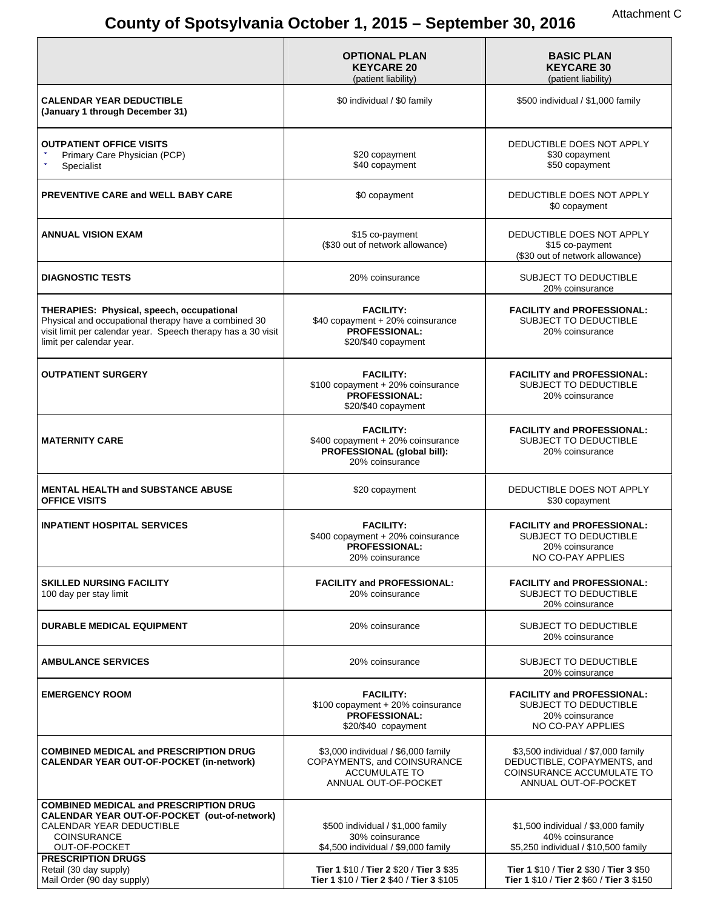# **County of Spotsylvania October 1, 2015 – September 30, 2016** Attachment C

|                                                                                                                                                                                               | <b>OPTIONAL PLAN</b><br><b>KEYCARE 20</b><br>(patient liability)                                            | <b>BASIC PLAN</b><br><b>KEYCARE 30</b><br>(patient liability)                                                           |
|-----------------------------------------------------------------------------------------------------------------------------------------------------------------------------------------------|-------------------------------------------------------------------------------------------------------------|-------------------------------------------------------------------------------------------------------------------------|
| <b>CALENDAR YEAR DEDUCTIBLE</b><br>(January 1 through December 31)                                                                                                                            | \$0 individual / \$0 family                                                                                 | \$500 individual / \$1,000 family                                                                                       |
| <b>OUTPATIENT OFFICE VISITS</b><br>Primary Care Physician (PCP)<br>Specialist                                                                                                                 | \$20 copayment<br>\$40 copayment                                                                            | DEDUCTIBLE DOES NOT APPLY<br>\$30 copayment<br>\$50 copayment                                                           |
| PREVENTIVE CARE and WELL BABY CARE                                                                                                                                                            | \$0 copayment                                                                                               | DEDUCTIBLE DOES NOT APPLY<br>\$0 copayment                                                                              |
| <b>ANNUAL VISION EXAM</b>                                                                                                                                                                     | \$15 co-payment<br>(\$30 out of network allowance)                                                          | DEDUCTIBLE DOES NOT APPLY<br>\$15 co-payment<br>(\$30 out of network allowance)                                         |
| <b>DIAGNOSTIC TESTS</b>                                                                                                                                                                       | 20% coinsurance                                                                                             | <b>SUBJECT TO DEDUCTIBLE</b><br>20% coinsurance                                                                         |
| THERAPIES: Physical, speech, occupational<br>Physical and occupational therapy have a combined 30<br>visit limit per calendar year. Speech therapy has a 30 visit<br>limit per calendar year. | <b>FACILITY:</b><br>\$40 copayment + 20% coinsurance<br>PROFESSIONAL:<br>\$20/\$40 copayment                | <b>FACILITY and PROFESSIONAL:</b><br>SUBJECT TO DEDUCTIBLE<br>20% coinsurance                                           |
| <b>OUTPATIENT SURGERY</b>                                                                                                                                                                     | <b>FACILITY:</b><br>\$100 copayment + 20% coinsurance<br><b>PROFESSIONAL:</b><br>\$20/\$40 copayment        | <b>FACILITY and PROFESSIONAL:</b><br>SUBJECT TO DEDUCTIBLE<br>20% coinsurance                                           |
| <b>MATERNITY CARE</b>                                                                                                                                                                         | <b>FACILITY:</b><br>\$400 copayment + 20% coinsurance<br>PROFESSIONAL (global bill):<br>20% coinsurance     | <b>FACILITY and PROFESSIONAL:</b><br>SUBJECT TO DEDUCTIBLE<br>20% coinsurance                                           |
| <b>MENTAL HEALTH and SUBSTANCE ABUSE</b><br><b>OFFICE VISITS</b>                                                                                                                              | \$20 copayment                                                                                              | DEDUCTIBLE DOES NOT APPLY<br>\$30 copayment                                                                             |
| <b>INPATIENT HOSPITAL SERVICES</b>                                                                                                                                                            | <b>FACILITY:</b><br>\$400 copayment + 20% coinsurance<br><b>PROFESSIONAL:</b><br>20% coinsurance            | <b>FACILITY and PROFESSIONAL:</b><br>SUBJECT TO DEDUCTIBLE<br>20% coinsurance<br>NO CO-PAY APPLIES                      |
| <b>SKILLED NURSING FACILITY</b><br>100 day per stay limit                                                                                                                                     | <b>FACILITY and PROFESSIONAL:</b><br>20% coinsurance                                                        | <b>FACILITY and PROFESSIONAL:</b><br>SUBJECT TO DEDUCTIBLE<br>20% coinsurance                                           |
| <b>DURABLE MEDICAL EQUIPMENT</b>                                                                                                                                                              | 20% coinsurance                                                                                             | <b>SUBJECT TO DEDUCTIBLE</b><br>20% coinsurance                                                                         |
| <b>AMBULANCE SERVICES</b>                                                                                                                                                                     | 20% coinsurance                                                                                             | SUBJECT TO DEDUCTIBLE<br>20% coinsurance                                                                                |
| <b>EMERGENCY ROOM</b>                                                                                                                                                                         | <b>FACILITY:</b><br>\$100 copayment + 20% coinsurance<br><b>PROFESSIONAL:</b><br>\$20/\$40 copayment        | <b>FACILITY and PROFESSIONAL:</b><br>SUBJECT TO DEDUCTIBLE<br>20% coinsurance<br>NO CO-PAY APPLIES                      |
| <b>COMBINED MEDICAL and PRESCRIPTION DRUG</b><br><b>CALENDAR YEAR OUT-OF-POCKET (in-network)</b>                                                                                              | \$3,000 individual / \$6,000 family<br>COPAYMENTS, and COINSURANCE<br>ACCUMULATE TO<br>ANNUAL OUT-OF-POCKET | \$3,500 individual / \$7,000 family<br>DEDUCTIBLE, COPAYMENTS, and<br>COINSURANCE ACCUMULATE TO<br>ANNUAL OUT-OF-POCKET |
| <b>COMBINED MEDICAL and PRESCRIPTION DRUG</b>                                                                                                                                                 |                                                                                                             |                                                                                                                         |
| CALENDAR YEAR OUT-OF-POCKET (out-of-network)<br>CALENDAR YEAR DEDUCTIBLE<br>COINSURANCE                                                                                                       | \$500 individual / \$1,000 family<br>30% coinsurance                                                        | \$1,500 individual / \$3,000 family<br>40% coinsurance                                                                  |
| OUT-OF-POCKET                                                                                                                                                                                 | \$4,500 individual / \$9,000 family                                                                         | \$5,250 individual / \$10,500 family                                                                                    |
| <b>PRESCRIPTION DRUGS</b><br>Retail (30 day supply)<br>Mail Order (90 day supply)                                                                                                             | Tier 1 \$10 / Tier 2 \$20 / Tier 3 \$35<br>Tier 1 \$10 / Tier 2 \$40 / Tier 3 \$105                         | Tier 1 \$10 / Tier 2 \$30 / Tier 3 \$50<br>Tier 1 \$10 / Tier 2 \$60 / Tier 3 \$150                                     |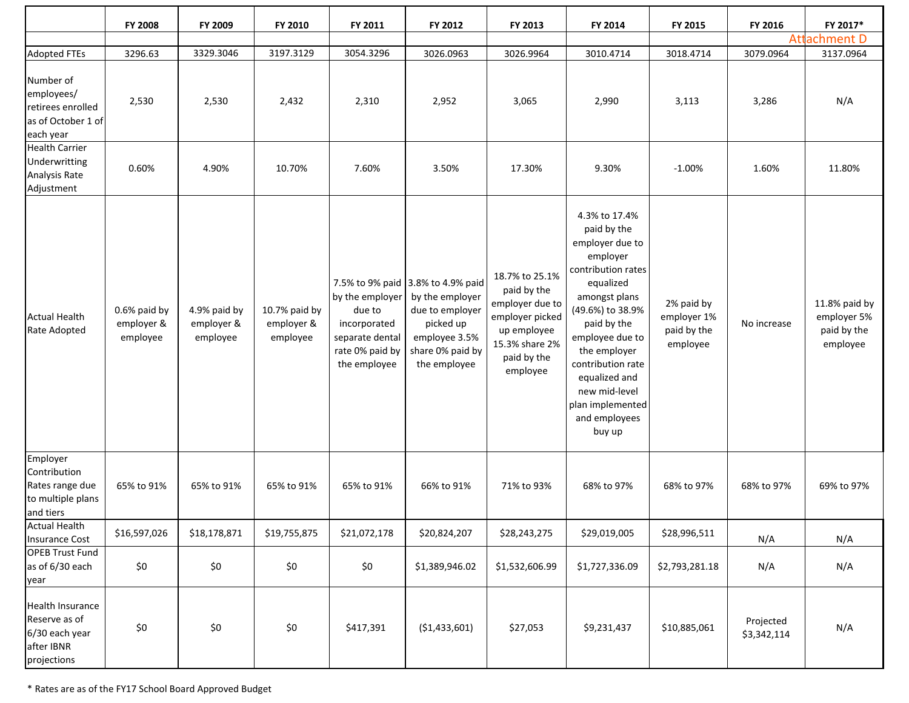|                                                                                  | <b>FY 2008</b>                         | FY 2009                                | FY 2010                                 | FY 2011                                                                                         | FY 2012                                                                                                                                   | FY 2013                                                                                                                         | FY 2014                                                                                                                                                                                                                                                                                     | FY 2015                                              | FY 2016                  | FY 2017*                                                |
|----------------------------------------------------------------------------------|----------------------------------------|----------------------------------------|-----------------------------------------|-------------------------------------------------------------------------------------------------|-------------------------------------------------------------------------------------------------------------------------------------------|---------------------------------------------------------------------------------------------------------------------------------|---------------------------------------------------------------------------------------------------------------------------------------------------------------------------------------------------------------------------------------------------------------------------------------------|------------------------------------------------------|--------------------------|---------------------------------------------------------|
|                                                                                  |                                        |                                        |                                         |                                                                                                 |                                                                                                                                           |                                                                                                                                 |                                                                                                                                                                                                                                                                                             |                                                      |                          | <b>Attachment D</b>                                     |
| <b>Adopted FTEs</b>                                                              | 3296.63                                | 3329.3046                              | 3197.3129                               | 3054.3296                                                                                       | 3026.0963                                                                                                                                 | 3026.9964                                                                                                                       | 3010.4714                                                                                                                                                                                                                                                                                   | 3018.4714                                            | 3079.0964                | 3137.0964                                               |
| Number of<br>employees/<br>retirees enrolled<br>as of October 1 of<br>each year  | 2,530                                  | 2,530                                  | 2,432                                   | 2,310                                                                                           | 2,952                                                                                                                                     | 3,065                                                                                                                           | 2,990                                                                                                                                                                                                                                                                                       | 3,113                                                | 3,286                    | N/A                                                     |
| <b>Health Carrier</b><br>Underwritting<br>Analysis Rate<br>Adjustment            | 0.60%                                  | 4.90%                                  | 10.70%                                  | 7.60%                                                                                           | 3.50%                                                                                                                                     | 17.30%                                                                                                                          | 9.30%                                                                                                                                                                                                                                                                                       | $-1.00%$                                             | 1.60%                    | 11.80%                                                  |
| <b>Actual Health</b><br>Rate Adopted                                             | 0.6% paid by<br>employer &<br>employee | 4.9% paid by<br>employer &<br>employee | 10.7% paid by<br>employer &<br>employee | by the employer<br>due to<br>incorporated<br>separate dental<br>rate 0% paid by<br>the employee | 7.5% to 9% paid 3.8% to 4.9% paid<br>by the employer<br>due to employer<br>picked up<br>employee 3.5%<br>share 0% paid by<br>the employee | 18.7% to 25.1%<br>paid by the<br>employer due to<br>employer picked<br>up employee<br>15.3% share 2%<br>paid by the<br>employee | 4.3% to 17.4%<br>paid by the<br>employer due to<br>employer<br>contribution rates<br>equalized<br>amongst plans<br>(49.6%) to 38.9%<br>paid by the<br>employee due to<br>the employer<br>contribution rate<br>equalized and<br>new mid-level<br>plan implemented<br>and employees<br>buy up | 2% paid by<br>employer 1%<br>paid by the<br>employee | No increase              | 11.8% paid by<br>employer 5%<br>paid by the<br>employee |
| Employer<br>Contribution<br>Rates range due<br>to multiple plans<br>and tiers    | 65% to 91%                             | 65% to 91%                             | 65% to 91%                              | 65% to 91%                                                                                      | 66% to 91%                                                                                                                                | 71% to 93%                                                                                                                      | 68% to 97%                                                                                                                                                                                                                                                                                  | 68% to 97%                                           | 68% to 97%               | 69% to 97%                                              |
| <b>Actual Health</b><br><b>Insurance Cost</b>                                    | \$16,597,026                           | \$18,178,871                           | \$19,755,875                            | \$21,072,178                                                                                    | \$20,824,207                                                                                                                              | \$28,243,275                                                                                                                    | \$29,019,005                                                                                                                                                                                                                                                                                | \$28,996,511                                         | N/A                      | N/A                                                     |
| <b>OPEB Trust Fund</b><br>as of 6/30 each<br>year                                | \$0                                    | \$0                                    | \$0                                     | \$0                                                                                             | \$1,389,946.02                                                                                                                            | \$1,532,606.99                                                                                                                  | \$1,727,336.09                                                                                                                                                                                                                                                                              | \$2,793,281.18                                       | N/A                      | N/A                                                     |
| Health Insurance<br>Reserve as of<br>6/30 each year<br>after IBNR<br>projections | \$0                                    | \$0                                    | $$0$$                                   | \$417,391                                                                                       | ( \$1,433,601)                                                                                                                            | \$27,053                                                                                                                        | \$9,231,437                                                                                                                                                                                                                                                                                 | \$10,885,061                                         | Projected<br>\$3,342,114 | N/A                                                     |